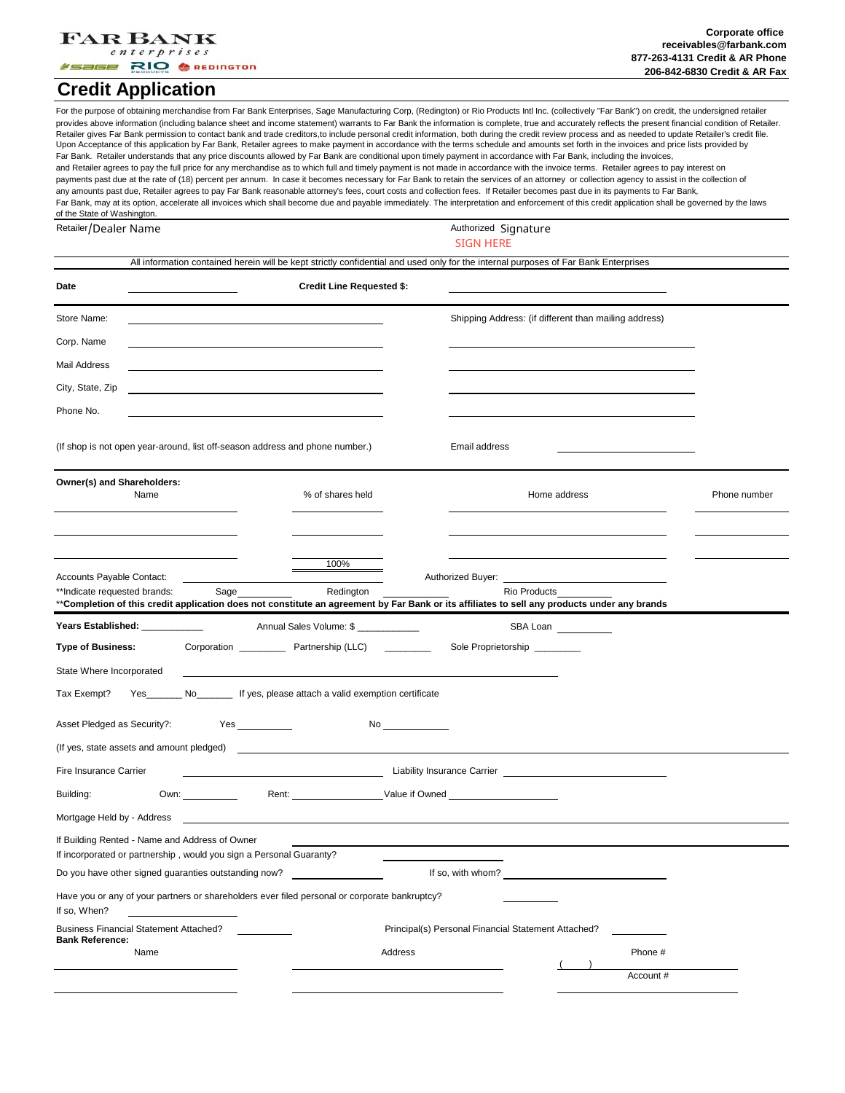#### **FAR BANK**  $enterprises$

**/Sage RIO & REDINGTON** 

### **Credit Application**

For the purpose of obtaining merchandise from Far Bank Enterprises, Sage Manufacturing Corp, (Redington) or Rio Products Intl Inc. (collectively "Far Bank") on credit, the undersigned retailer provides above information (including balance sheet and income statement) warrants to Far Bank the information is complete, true and accurately reflects the present financial condition of Retailer. Retailer gives Far Bank permission to contact bank and trade creditors,to include personal credit information, both during the credit review process and as needed to update Retailer's credit file. Upon Acceptance of this application by Far Bank, Retailer agrees to make payment in accordance with the terms schedule and amounts set forth in the invoices and price lists provided by Far Bank. Retailer understands that any price discounts allowed by Far Bank are conditional upon timely payment in accordance with Far Bank, including the invoices, and Retailer agrees to pay the full price for any merchandise as to which full and timely payment is not made in accordance with the invoice terms. Retailer agrees to pay interest on payments past due at the rate of (18) percent per annum. In case it becomes necessary for Far Bank to retain the services of an attorney or collection agency to assist in the collection of any amounts past due, Retailer agrees to pay Far Bank reasonable attorney's fees, court costs and collection fees. If Retailer becomes past due in its payments to Far Bank, Far Bank, may at its option, accelerate all invoices which shall become due and payable immediately. The interpretation and enforcement of this credit application shall be governed by the laws of the State of Washington.

Retailer/Dealer Name

### Authorized Signature SIGN HERE

|                                                                                                                                                                              |                                                                                 |                                  |                    | All information contained herein will be kept strictly confidential and used only for the internal purposes of Far Bank Enterprises                                                            |              |                      |              |
|------------------------------------------------------------------------------------------------------------------------------------------------------------------------------|---------------------------------------------------------------------------------|----------------------------------|--------------------|------------------------------------------------------------------------------------------------------------------------------------------------------------------------------------------------|--------------|----------------------|--------------|
| Date                                                                                                                                                                         |                                                                                 | <b>Credit Line Requested \$:</b> |                    |                                                                                                                                                                                                |              |                      |              |
| Store Name:                                                                                                                                                                  |                                                                                 |                                  |                    | Shipping Address: (if different than mailing address)                                                                                                                                          |              |                      |              |
| Corp. Name                                                                                                                                                                   |                                                                                 |                                  |                    |                                                                                                                                                                                                |              |                      |              |
| Mail Address                                                                                                                                                                 |                                                                                 |                                  |                    |                                                                                                                                                                                                |              |                      |              |
| City, State, Zip                                                                                                                                                             |                                                                                 |                                  |                    |                                                                                                                                                                                                |              |                      |              |
| Phone No.                                                                                                                                                                    |                                                                                 |                                  |                    |                                                                                                                                                                                                |              |                      |              |
| (If shop is not open year-around, list off-season address and phone number.)                                                                                                 |                                                                                 |                                  |                    | Email address                                                                                                                                                                                  |              |                      |              |
| Owner(s) and Shareholders:<br>Name                                                                                                                                           |                                                                                 | % of shares held                 |                    |                                                                                                                                                                                                | Home address |                      | Phone number |
|                                                                                                                                                                              |                                                                                 |                                  |                    |                                                                                                                                                                                                |              |                      |              |
|                                                                                                                                                                              |                                                                                 |                                  |                    |                                                                                                                                                                                                |              |                      |              |
| Accounts Payable Contact:                                                                                                                                                    |                                                                                 | 100%                             |                    | Authorized Buyer: Authorized Buyer:                                                                                                                                                            |              |                      |              |
| **Indicate requested brands:<br>**Completion of this credit application does not constitute an agreement by Far Bank or its affiliates to sell any products under any brands | Sage                                                                            | Redington                        |                    | Rio Products                                                                                                                                                                                   |              |                      |              |
| Years Established: ____________                                                                                                                                              |                                                                                 | Annual Sales Volume: \$          |                    |                                                                                                                                                                                                | SBA Loan     |                      |              |
| <b>Type of Business:</b>                                                                                                                                                     |                                                                                 |                                  |                    | Sole Proprietorship                                                                                                                                                                            |              |                      |              |
| State Where Incorporated                                                                                                                                                     |                                                                                 |                                  |                    |                                                                                                                                                                                                |              |                      |              |
| Tax Exempt?                                                                                                                                                                  | Yes__________ No___________ If yes, please attach a valid exemption certificate |                                  |                    |                                                                                                                                                                                                |              |                      |              |
| Asset Pledged as Security?:                                                                                                                                                  |                                                                                 |                                  | No $\qquad \qquad$ |                                                                                                                                                                                                |              |                      |              |
|                                                                                                                                                                              |                                                                                 |                                  |                    |                                                                                                                                                                                                |              |                      |              |
| Fire Insurance Carrier                                                                                                                                                       |                                                                                 |                                  |                    | Liability Insurance Carrier <b>Carrier Carrier Carrier Carrier Carrier Carrier Carrier Carrier Carrier Carrier Carrier Carrier Carrier Carrier Carrier Carrier Carrier Carrier Carrier Car</b> |              |                      |              |
| Building:                                                                                                                                                                    | Own: $\qquad \qquad$                                                            |                                  |                    | Rent: Value if Owned                                                                                                                                                                           |              |                      |              |
| Mortgage Held by - Address                                                                                                                                                   |                                                                                 |                                  |                    |                                                                                                                                                                                                |              |                      |              |
| If Building Rented - Name and Address of Owner<br>If incorporated or partnership, would you sign a Personal Guaranty?                                                        |                                                                                 |                                  |                    |                                                                                                                                                                                                |              |                      |              |
| Do you have other signed guaranties outstanding now?<br>If so, with whom?                                                                                                    |                                                                                 |                                  |                    |                                                                                                                                                                                                |              |                      |              |
| Have you or any of your partners or shareholders ever filed personal or corporate bankruptcy?<br>If so, When?                                                                |                                                                                 |                                  |                    |                                                                                                                                                                                                |              |                      |              |
| <b>Business Financial Statement Attached?</b><br><b>Bank Reference:</b>                                                                                                      |                                                                                 |                                  |                    | Principal(s) Personal Financial Statement Attached?                                                                                                                                            |              |                      |              |
| Name                                                                                                                                                                         |                                                                                 |                                  | Address            |                                                                                                                                                                                                |              | Phone #<br>Account # |              |
|                                                                                                                                                                              |                                                                                 |                                  |                    |                                                                                                                                                                                                |              |                      |              |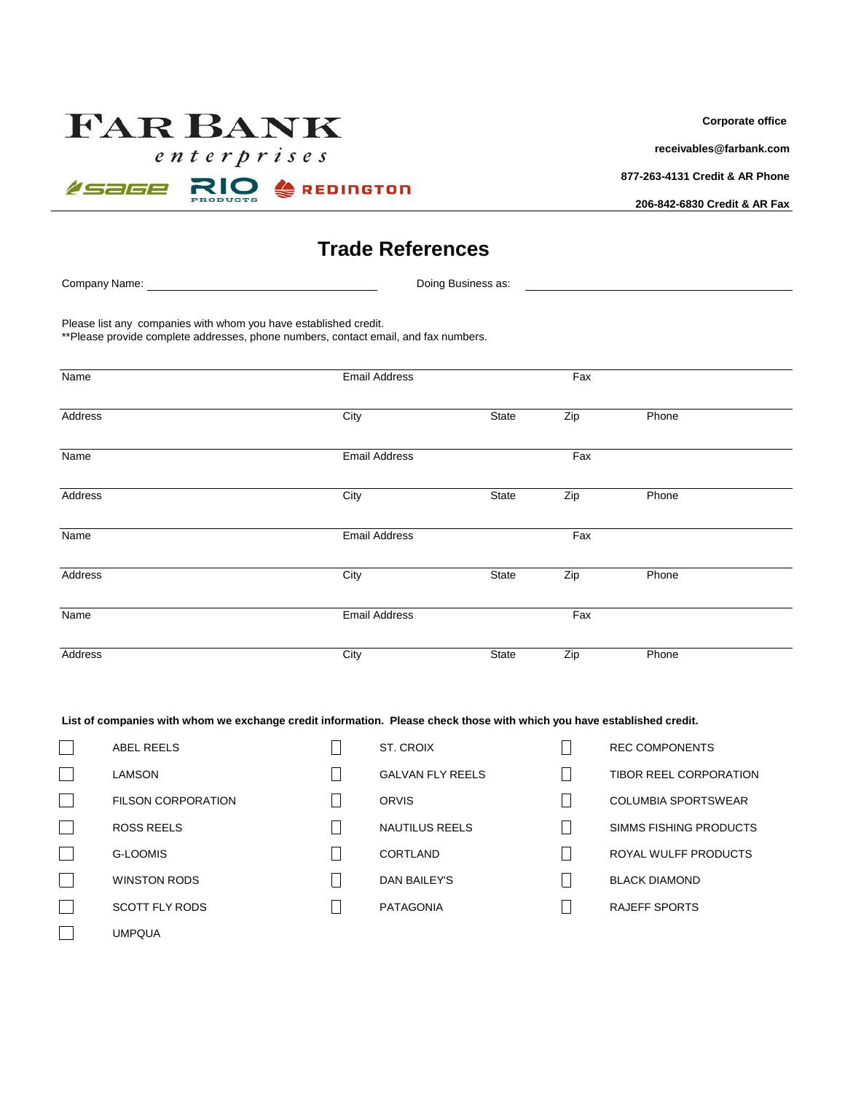# **FAR BANK**

 $\sqrt{e}$ nterprises



**Corporate office** 

**[recei](mailto:receivables@farbank.com)vables@farbank.com**

**877-263-4131 Credit & AR Phone**

**206-842-6830 Credit & AR Fax**

## **Trade References**

Company Name: Doing Business as:

Please list any companies with whom you have established credit.

\*\*Please provide complete addresses, phone numbers, contact email, and fax numbers.

| Name    | <b>Email Address</b> |       | Fax |       |  |
|---------|----------------------|-------|-----|-------|--|
| Address | City                 | State | Zip | Phone |  |
| Name    | <b>Email Address</b> |       | Fax |       |  |
| Address | City                 | State | Zip | Phone |  |
| Name    | Email Address        |       | Fax |       |  |
| Address | City                 | State | Zip | Phone |  |
| Name    | <b>Email Address</b> |       | Fax |       |  |
| Address | City                 | State | Zip | Phone |  |

### **List of companies with whom we exchange credit information. Please check those with which you have established credit.**

| <b>ABEL REELS</b>         | ST. CROIX               |                          | <b>REC COMPONENTS</b>      |
|---------------------------|-------------------------|--------------------------|----------------------------|
| <b>LAMSON</b>             | <b>GALVAN FLY REELS</b> |                          | TIBOR REEL CORPORATION     |
| <b>FILSON CORPORATION</b> | <b>ORVIS</b>            |                          | <b>COLUMBIA SPORTSWEAR</b> |
| <b>ROSS REELS</b>         | <b>NAUTILUS REELS</b>   |                          | SIMMS FISHING PRODUCTS     |
| <b>G-LOOMIS</b>           | CORTLAND                |                          | ROYAL WULFF PRODUCTS       |
| <b>WINSTON RODS</b>       | DAN BAILEY'S            | $\overline{\phantom{a}}$ | <b>BLACK DIAMOND</b>       |
| <b>SCOTT FLY RODS</b>     | <b>PATAGONIA</b>        |                          | RAJEFF SPORTS              |
| <b>UMPQUA</b>             |                         |                          |                            |